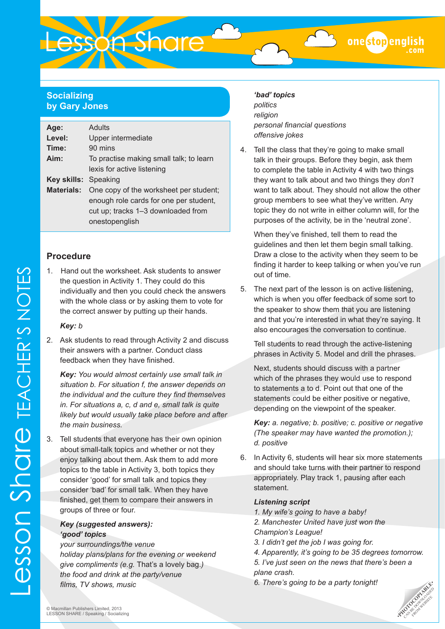## **Socializing by Gary Jones**

| Age:                        | Adults                                  |  |  |  |
|-----------------------------|-----------------------------------------|--|--|--|
| Level:                      | Upper intermediate                      |  |  |  |
| Time:                       | 90 mins                                 |  |  |  |
| Aim:                        | To practise making small talk; to learn |  |  |  |
|                             | lexis for active listening              |  |  |  |
| <b>Key skills:</b> Speaking |                                         |  |  |  |
| <b>Materials:</b>           | One copy of the worksheet per student;  |  |  |  |
|                             | enough role cards for one per student,  |  |  |  |
|                             | cut up; tracks 1-3 downloaded from      |  |  |  |
|                             | onestopenglish                          |  |  |  |

**Lesson Share** 

## **Procedure**

1. Hand out the worksheet. Ask students to answer the question in Activity 1. They could do this individually and then you could check the answers with the whole class or by asking them to vote for the correct answer by putting up their hands.

## *Key: b*

2. Ask students to read through Activity 2 and discuss their answers with a partner. Conduct class feedback when they have finished.

*Key: You would almost certainly use small talk in situation b. For situation f, the answer depends on the individual and the culture they find themselves in. For situations a, c, d and e, small talk is quite likely but would usually take place before and after the main business.* 

3. Tell students that everyone has their own opinion about small-talk topics and whether or not they enjoy talking about them. Ask them to add more topics to the table in Activity 3, both topics they consider 'good' for small talk and topics they consider 'bad' for small talk. When they have finished, get them to compare their answers in groups of three or four.

## *Key (suggested answers): 'good' topics*

*your surroundings/the venue holiday plans/plans for the evening or weekend give compliments (e.g.* That's a lovely bag.*) the food and drink at the party/venue films, TV shows, music*

## *'bad' topics*

*politics religion personal financial questions offensive jokes*

4. Tell the class that they're going to make small talk in their groups. Before they begin, ask them to complete the table in Activity 4 with two things they want to talk about and two things they *don't*  want to talk about. They should not allow the other group members to see what they've written. Any topic they do not write in either column will, for the purposes of the activity, be in the 'neutral zone'.

When they've finished, tell them to read the guidelines and then let them begin small talking. Draw a close to the activity when they seem to be finding it harder to keep talking or when you've run out of time.

5. The next part of the lesson is on active listening, which is when you offer feedback of some sort to the speaker to show them that you are listening and that you're interested in what they're saying. It also encourages the conversation to continue.

Tell students to read through the active-listening phrases in Activity 5. Model and drill the phrases.

Next, students should discuss with a partner which of the phrases they would use to respond to statements a to d. Point out that one of the statements could be either positive or negative, depending on the viewpoint of the speaker.

*Key: a. negative; b. positive; c. positive or negative (The speaker may have wanted the promotion.); d. positive*

6. In Activity 6, students will hear six more statements and should take turns with their partner to respond appropriately. Play track 1, pausing after each statement.

## *Listening script*

- *1. My wife's going to have a baby!*
- *2. Manchester United have just won the Champion's League!*
- *3. I didn't get the job I was going for.*
- *4. Apparently, it's going to be 35 degrees tomorrow. 5. I've just seen on the news that there's been a*
- *plane crash.*
- *6. There's going to be a party tonight!*

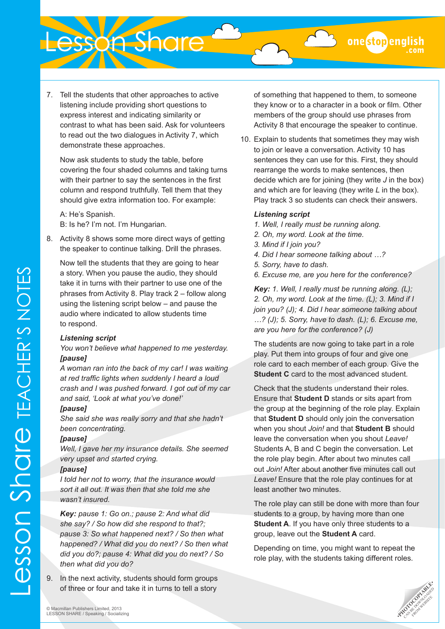onestopenglish

7. Tell the students that other approaches to active listening include providing short questions to express interest and indicating similarity or contrast to what has been said. Ask for volunteers to read out the two dialogues in Activity 7, which demonstrate these approaches.

Lesson Share

Now ask students to study the table, before covering the four shaded columns and taking turns with their partner to say the sentences in the first column and respond truthfully. Tell them that they should give extra information too. For example:

A: He's Spanish. B: Is he? I'm not. I'm Hungarian.

8. Activity 8 shows some more direct ways of getting the speaker to continue talking. Drill the phrases.

Now tell the students that they are going to hear a story. When you pause the audio, they should take it in turns with their partner to use one of the phrases from Activity 8. Play track 2 – follow along using the listening script below – and pause the audio where indicated to allow students time to respond.

#### *Listening script*

*You won't believe what happened to me yesterday. [pause]*

*A woman ran into the back of my car! I was waiting at red traffic lights when suddenly I heard a loud crash and I was pushed forward. I got out of my car and said, 'Look at what you've done!'*

#### *[pause]*

*She said she was really sorry and that she hadn't been concentrating.* 

#### *[pause]*

Lesson Share TEACHER'S NOTES

**ESSON SNOTE TEACHER'S NOTES** 

*Well, I gave her my insurance details. She seemed very upset and started crying.* 

#### *[pause]*

*I told her not to worry, that the insurance would sort it all out. It was then that she told me she wasn't insured.*

*Key: pause 1: Go on.; pause 2: And what did she say? / So how did she respond to that?; pause 3: So what happened next? / So then what happened? / What did you do next? / So then what did you do?; pause 4: What did you do next? / So then what did you do?*

9. In the next activity, students should form groups of three or four and take it in turns to tell a story

of something that happened to them, to someone they know or to a character in a book or film. Other members of the group should use phrases from Activity 8 that encourage the speaker to continue.

10. Explain to students that sometimes they may wish to join or leave a conversation. Activity 10 has sentences they can use for this. First, they should rearrange the words to make sentences, then decide which are for joining (they write *J* in the box) and which are for leaving (they write *L* in the box). Play track 3 so students can check their answers.

## *Listening script*

- *1. Well, I really must be running along.*
- *2. Oh, my word. Look at the time.*
- *3. Mind if I join you?*
- *4. Did I hear someone talking about …?*
- *5. Sorry, have to dash.*
- *6. Excuse me, are you here for the conference?*

*Key: 1. Well, I really must be running along. (L); 2. Oh, my word. Look at the time. (L); 3. Mind if I join you? (J); 4. Did I hear someone talking about …? (J); 5. Sorry, have to dash. (L); 6. Excuse me, are you here for the conference? (J)*

The students are now going to take part in a role play. Put them into groups of four and give one role card to each member of each group. Give the **Student C** card to the most advanced student.

Check that the students understand their roles. Ensure that **Student D** stands or sits apart from the group at the beginning of the role play. Explain that **Student D** should only join the conversation when you shout *Join!* and that **Student B** should leave the conversation when you shout *Leave!*  Students A, B and C begin the conversation. Let the role play begin. After about two minutes call out *Join!* After about another five minutes call out *Leave!* Ensure that the role play continues for at least another two minutes.

The role play can still be done with more than four students to a group, by having more than one **Student A.** If you have only three students to a group, leave out the **Student A** card.

Depending on time, you might want to repeat the role play, with the students taking different roles.

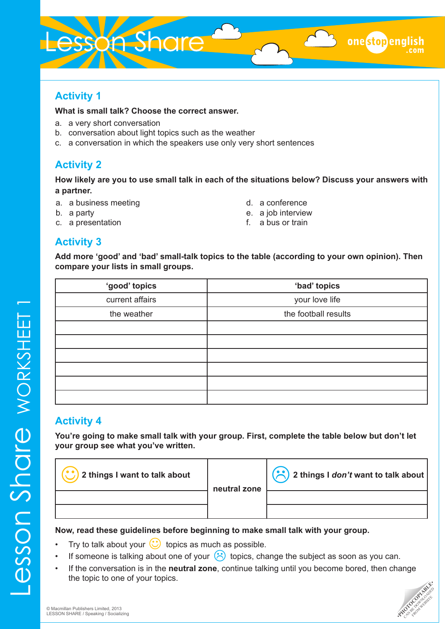# Lesson Share

# **Activity 1**

## **What is small talk? Choose the correct answer.**

- a. a very short conversation
- b. conversation about light topics such as the weather
- c. a conversation in which the speakers use only very short sentences

# **Activity 2**

**How likely are you to use small talk in each of the situations below? Discuss your answers with a partner.** 

- a. a business meeting
- b. a party
- c. a presentation

d. a conference

onestopeng

- e. a job interview
- f. a bus or train

# **Activity 3**

**Add more 'good' and 'bad' small-talk topics to the table (according to your own opinion). Then compare your lists in small groups.**

| 'good' topics   | 'bad' topics         |
|-----------------|----------------------|
| current affairs | your love life       |
| the weather     | the football results |
|                 |                      |
|                 |                      |
|                 |                      |
|                 |                      |
|                 |                      |
|                 |                      |

# **Activity 4**

**You're going to make small talk with your group. First, complete the table below but don't let your group see what you've written.**



## **Now, read these guidelines before beginning to make small talk with your group.**

- Try to talk about your  $\bigodot$  topics as much as possible.
- If someone is talking about one of your  $\bigodot$  topics, change the subject as soon as you can.
- If the conversation is in the **neutral zone**, continue talking until you become bored, then change the topic to one of your topics.

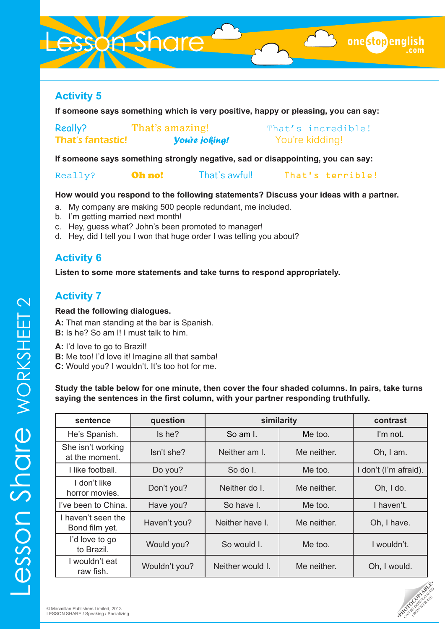# esson Share

**If someone says something which is very positive, happy or pleasing, you can say:**

| Really?                  | That's amazing!       | That's incredible! |
|--------------------------|-----------------------|--------------------|
| <b>That's fantastic!</b> | <b>You're joking!</b> | You're kidding!    |

**If someone says something strongly negative, sad or disappointing, you can say:**

Really? **Oh no!** That's awful! That's terrible!

## **How would you respond to the following statements? Discuss your ideas with a partner.**

- a. My company are making 500 people redundant, me included.
- b. I'm getting married next month!
- c. Hey, guess what? John's been promoted to manager!
- d. Hey, did I tell you I won that huge order I was telling you about?

# **Activity 6**

**Listen to some more statements and take turns to respond appropriately.**

# **Activity 7**

# **Read the following dialogues.**

**A:** That man standing at the bar is Spanish. **B:** Is he? So am I! I must talk to him.

**A:** I'd love to go to Brazil!

**B:** Me too! I'd love it! Imagine all that samba!

**C:** Would you? I wouldn't. It's too hot for me.

**Study the table below for one minute, then cover the four shaded columns. In pairs, take turns saying the sentences in the first column, with your partner responding truthfully.** 

| sentence                             | question      | similarity                   | contrast    |                       |  |
|--------------------------------------|---------------|------------------------------|-------------|-----------------------|--|
| He's Spanish.                        | Is he?        | So am I.                     | Me too.     | I'm not.              |  |
| She isn't working<br>at the moment.  | Isn't she?    | Neither am I.<br>Me neither. |             | Oh, I am.             |  |
| I like football.                     | Do you?       | So do I.                     | Me too.     | I don't (I'm afraid). |  |
| don't like<br>horror movies.         | Don't you?    | Neither do I.                | Me neither. | Oh, I do.             |  |
| I've been to China.                  | Have you?     | So have I.                   | Me too.     | I haven't.            |  |
| I haven't seen the<br>Bond film yet. | Haven't you?  | Neither have I.              | Me neither. | Oh, I have.           |  |
| I'd love to go<br>to Brazil.         | Would you?    | So would I.                  | Me too.     | I wouldn't.           |  |
| I wouldn't eat<br>raw fish.          | Wouldn't you? | Neither would I.             | Me neither. | Oh, I would.          |  |



onestopeng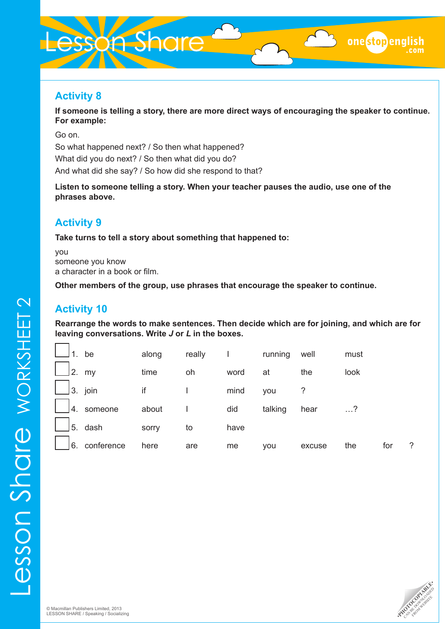# esson Share

# **Activity 8**

**If someone is telling a story, there are more direct ways of encouraging the speaker to continue. For example:** 

onestopeng

Go on. So what happened next? / So then what happened? What did you do next? / So then what did you do? And what did she say? / So how did she respond to that?

**Listen to someone telling a story. When your teacher pauses the audio, use one of the phrases above.** 

# **Activity 9**

**Take turns to tell a story about something that happened to:** 

you someone you know a character in a book or film.

**Other members of the group, use phrases that encourage the speaker to continue.**

# **Activity 10**

**Rearrange the words to make sentences. Then decide which are for joining, and which are for leaving conversations. Write** *J* **or** *L* **in the boxes.**

| be               | along | really |      | running | well   | must |     |                |
|------------------|-------|--------|------|---------|--------|------|-----|----------------|
| 2.<br>my         | time  | oh     | word | at      | the    | look |     |                |
| 3. join          | if    |        | mind | you     |        |      |     |                |
| 4.<br>someone    | about |        | did  | talking | hear   | . ?  |     |                |
| 5. dash          | sorry | to     | have |         |        |      |     |                |
| 6.<br>conference | here  | are    | me   | you     | excuse | the  | for | $\overline{?}$ |